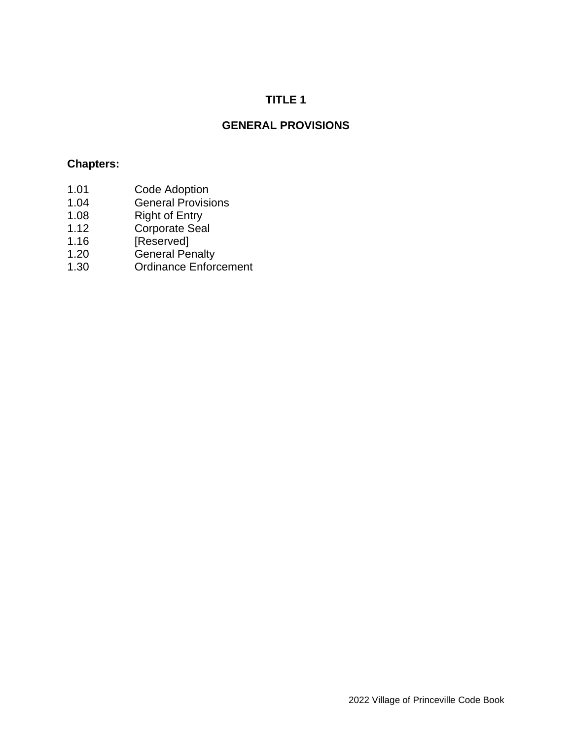## **TITLE 1**

# **GENERAL PROVISIONS**

## **Chapters:**

- 1.01 Code Adoption
- 1.04 General Provisions
- 1.08 Right of Entry
- 1.12 Corporate Seal
- 1.16 [Reserved]
- 1.20 General Penalty
- 1.30 Ordinance Enforcement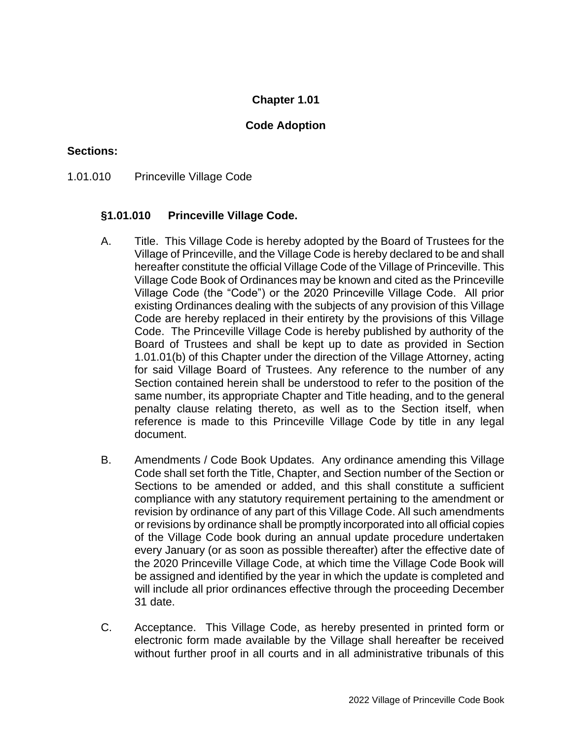### **Code Adoption**

#### **Sections:**

1.01.010 Princeville Village Code

#### **§1.01.010 Princeville Village Code.**

- A. Title. This Village Code is hereby adopted by the Board of Trustees for the Village of Princeville, and the Village Code is hereby declared to be and shall hereafter constitute the official Village Code of the Village of Princeville. This Village Code Book of Ordinances may be known and cited as the Princeville Village Code (the "Code") or the 2020 Princeville Village Code. All prior existing Ordinances dealing with the subjects of any provision of this Village Code are hereby replaced in their entirety by the provisions of this Village Code. The Princeville Village Code is hereby published by authority of the Board of Trustees and shall be kept up to date as provided in Section 1.01.01(b) of this Chapter under the direction of the Village Attorney, acting for said Village Board of Trustees. Any reference to the number of any Section contained herein shall be understood to refer to the position of the same number, its appropriate Chapter and Title heading, and to the general penalty clause relating thereto, as well as to the Section itself, when reference is made to this Princeville Village Code by title in any legal document.
- B. Amendments / Code Book Updates. Any ordinance amending this Village Code shall set forth the Title, Chapter, and Section number of the Section or Sections to be amended or added, and this shall constitute a sufficient compliance with any statutory requirement pertaining to the amendment or revision by ordinance of any part of this Village Code. All such amendments or revisions by ordinance shall be promptly incorporated into all official copies of the Village Code book during an annual update procedure undertaken every January (or as soon as possible thereafter) after the effective date of the 2020 Princeville Village Code, at which time the Village Code Book will be assigned and identified by the year in which the update is completed and will include all prior ordinances effective through the proceeding December 31 date.
- C. Acceptance. This Village Code, as hereby presented in printed form or electronic form made available by the Village shall hereafter be received without further proof in all courts and in all administrative tribunals of this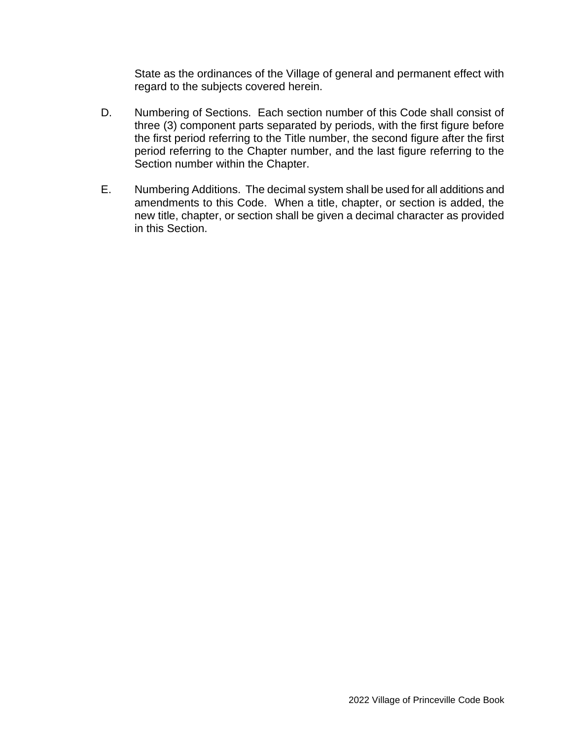State as the ordinances of the Village of general and permanent effect with regard to the subjects covered herein.

- D. Numbering of Sections. Each section number of this Code shall consist of three (3) component parts separated by periods, with the first figure before the first period referring to the Title number, the second figure after the first period referring to the Chapter number, and the last figure referring to the Section number within the Chapter.
- E. Numbering Additions. The decimal system shall be used for all additions and amendments to this Code. When a title, chapter, or section is added, the new title, chapter, or section shall be given a decimal character as provided in this Section.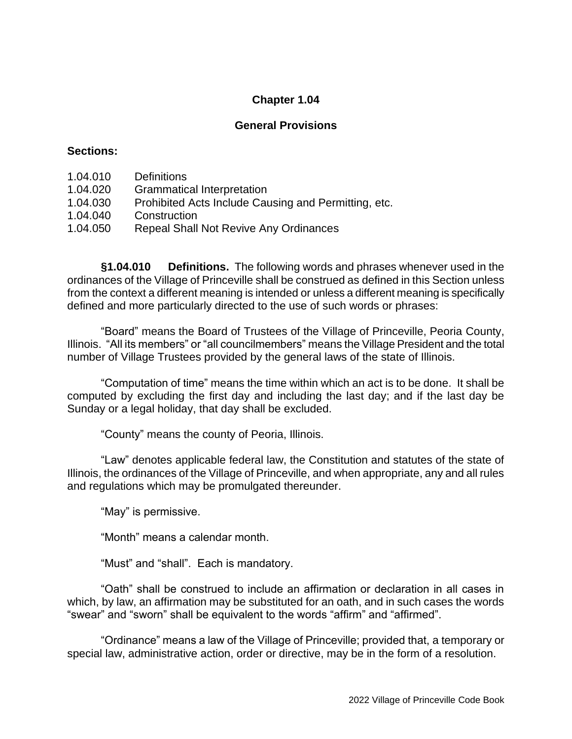### **General Provisions**

#### **Sections:**

- 1.04.010 Definitions
- 1.04.020 Grammatical Interpretation
- 1.04.030 Prohibited Acts Include Causing and Permitting, etc.
- 1.04.040 Construction
- 1.04.050 Repeal Shall Not Revive Any Ordinances

**§1.04.010 Definitions.** The following words and phrases whenever used in the ordinances of the Village of Princeville shall be construed as defined in this Section unless from the context a different meaning is intended or unless a different meaning is specifically defined and more particularly directed to the use of such words or phrases:

"Board" means the Board of Trustees of the Village of Princeville, Peoria County, Illinois. "All its members" or "all councilmembers" means the Village President and the total number of Village Trustees provided by the general laws of the state of Illinois.

"Computation of time" means the time within which an act is to be done. It shall be computed by excluding the first day and including the last day; and if the last day be Sunday or a legal holiday, that day shall be excluded.

"County" means the county of Peoria, Illinois.

"Law" denotes applicable federal law, the Constitution and statutes of the state of Illinois, the ordinances of the Village of Princeville, and when appropriate, any and all rules and regulations which may be promulgated thereunder.

"May" is permissive.

"Month" means a calendar month.

"Must" and "shall". Each is mandatory.

"Oath" shall be construed to include an affirmation or declaration in all cases in which, by law, an affirmation may be substituted for an oath, and in such cases the words "swear" and "sworn" shall be equivalent to the words "affirm" and "affirmed".

"Ordinance" means a law of the Village of Princeville; provided that, a temporary or special law, administrative action, order or directive, may be in the form of a resolution.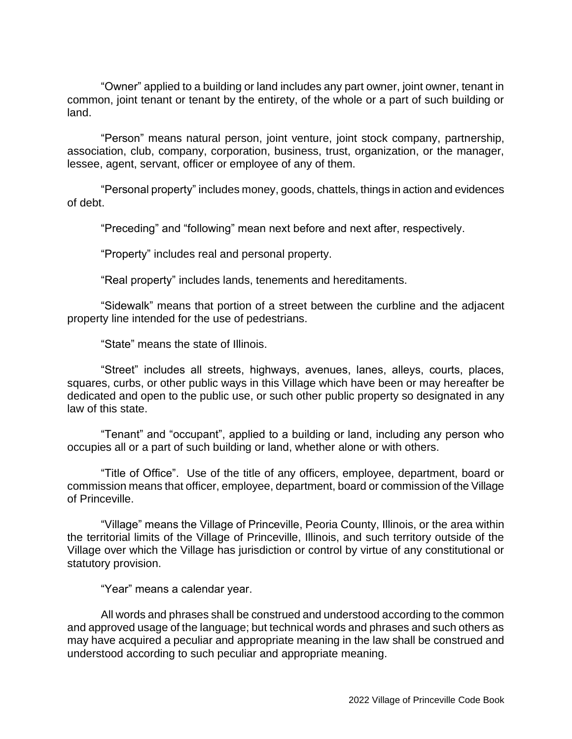"Owner" applied to a building or land includes any part owner, joint owner, tenant in common, joint tenant or tenant by the entirety, of the whole or a part of such building or land.

"Person" means natural person, joint venture, joint stock company, partnership, association, club, company, corporation, business, trust, organization, or the manager, lessee, agent, servant, officer or employee of any of them.

"Personal property" includes money, goods, chattels, things in action and evidences of debt.

"Preceding" and "following" mean next before and next after, respectively.

"Property" includes real and personal property.

"Real property" includes lands, tenements and hereditaments.

"Sidewalk" means that portion of a street between the curbline and the adjacent property line intended for the use of pedestrians.

"State" means the state of Illinois.

"Street" includes all streets, highways, avenues, lanes, alleys, courts, places, squares, curbs, or other public ways in this Village which have been or may hereafter be dedicated and open to the public use, or such other public property so designated in any law of this state.

"Tenant" and "occupant", applied to a building or land, including any person who occupies all or a part of such building or land, whether alone or with others.

"Title of Office". Use of the title of any officers, employee, department, board or commission means that officer, employee, department, board or commission of the Village of Princeville.

"Village" means the Village of Princeville, Peoria County, Illinois, or the area within the territorial limits of the Village of Princeville, Illinois, and such territory outside of the Village over which the Village has jurisdiction or control by virtue of any constitutional or statutory provision.

"Year" means a calendar year.

All words and phrases shall be construed and understood according to the common and approved usage of the language; but technical words and phrases and such others as may have acquired a peculiar and appropriate meaning in the law shall be construed and understood according to such peculiar and appropriate meaning.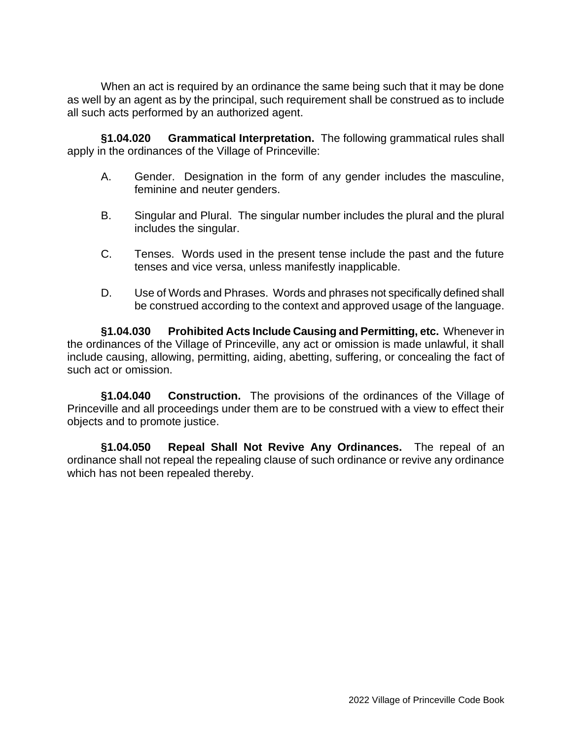When an act is required by an ordinance the same being such that it may be done as well by an agent as by the principal, such requirement shall be construed as to include all such acts performed by an authorized agent.

**§1.04.020 Grammatical Interpretation.** The following grammatical rules shall apply in the ordinances of the Village of Princeville:

- A. Gender. Designation in the form of any gender includes the masculine, feminine and neuter genders.
- B. Singular and Plural. The singular number includes the plural and the plural includes the singular.
- C. Tenses. Words used in the present tense include the past and the future tenses and vice versa, unless manifestly inapplicable.
- D. Use of Words and Phrases. Words and phrases not specifically defined shall be construed according to the context and approved usage of the language.

**§1.04.030 Prohibited Acts Include Causing and Permitting, etc.** Whenever in the ordinances of the Village of Princeville, any act or omission is made unlawful, it shall include causing, allowing, permitting, aiding, abetting, suffering, or concealing the fact of such act or omission.

**§1.04.040 Construction.** The provisions of the ordinances of the Village of Princeville and all proceedings under them are to be construed with a view to effect their objects and to promote justice.

**§1.04.050 Repeal Shall Not Revive Any Ordinances.** The repeal of an ordinance shall not repeal the repealing clause of such ordinance or revive any ordinance which has not been repealed thereby.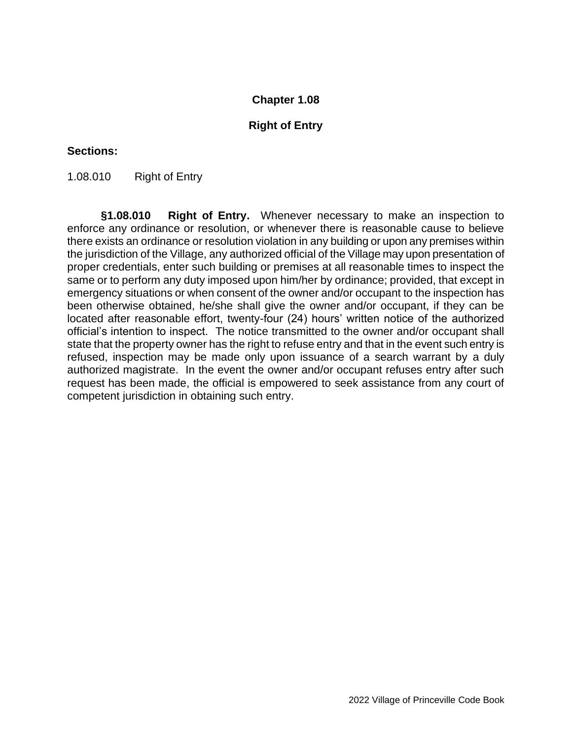#### **Right of Entry**

#### **Sections:**

1.08.010 Right of Entry

**§1.08.010 Right of Entry.** Whenever necessary to make an inspection to enforce any ordinance or resolution, or whenever there is reasonable cause to believe there exists an ordinance or resolution violation in any building or upon any premises within the jurisdiction of the Village, any authorized official of the Village may upon presentation of proper credentials, enter such building or premises at all reasonable times to inspect the same or to perform any duty imposed upon him/her by ordinance; provided, that except in emergency situations or when consent of the owner and/or occupant to the inspection has been otherwise obtained, he/she shall give the owner and/or occupant, if they can be located after reasonable effort, twenty-four (24) hours' written notice of the authorized official's intention to inspect. The notice transmitted to the owner and/or occupant shall state that the property owner has the right to refuse entry and that in the event such entry is refused, inspection may be made only upon issuance of a search warrant by a duly authorized magistrate. In the event the owner and/or occupant refuses entry after such request has been made, the official is empowered to seek assistance from any court of competent jurisdiction in obtaining such entry.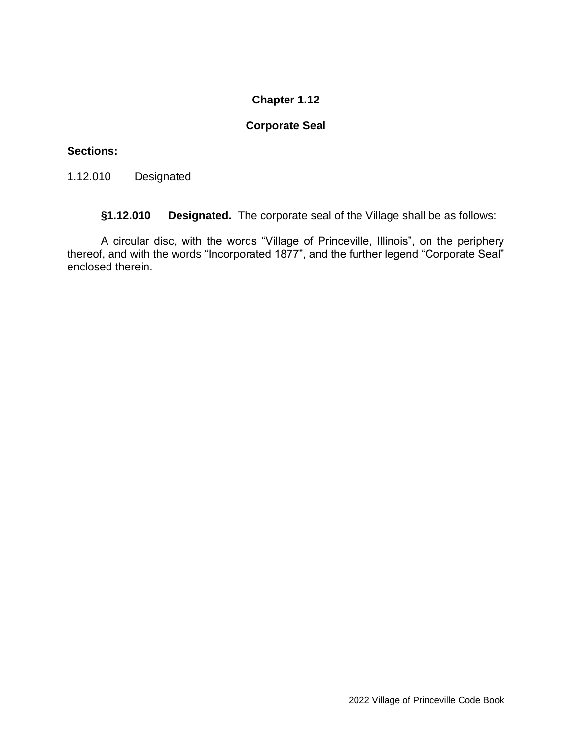## **Corporate Seal**

## **Sections:**

1.12.010 Designated

**§1.12.010 Designated.** The corporate seal of the Village shall be as follows:

A circular disc, with the words "Village of Princeville, Illinois", on the periphery thereof, and with the words "Incorporated 1877", and the further legend "Corporate Seal" enclosed therein.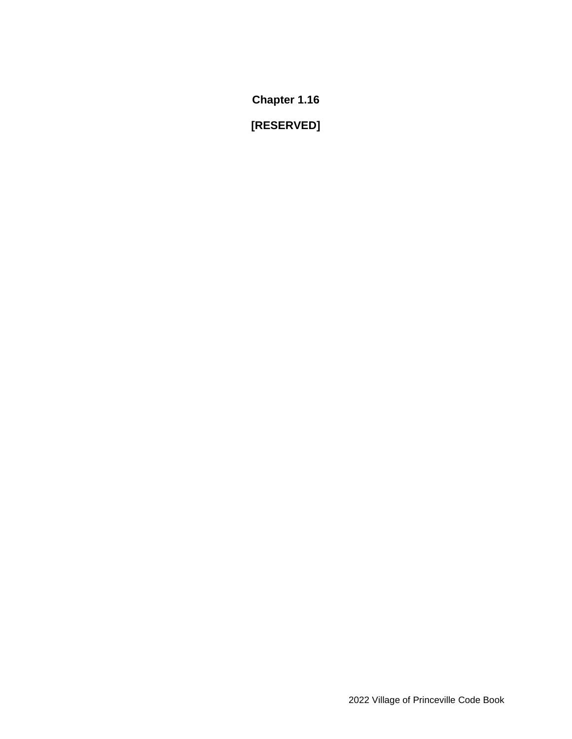**[RESERVED]**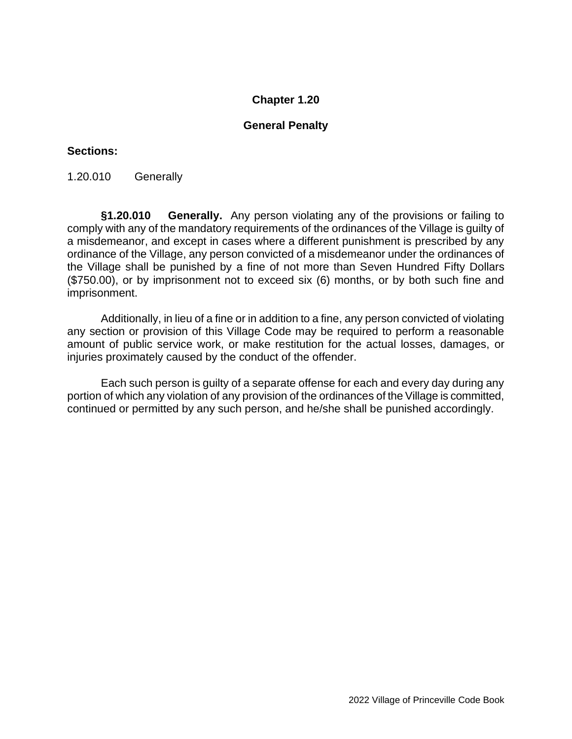### **General Penalty**

#### **Sections:**

1.20.010 Generally

**§1.20.010 Generally.** Any person violating any of the provisions or failing to comply with any of the mandatory requirements of the ordinances of the Village is guilty of a misdemeanor, and except in cases where a different punishment is prescribed by any ordinance of the Village, any person convicted of a misdemeanor under the ordinances of the Village shall be punished by a fine of not more than Seven Hundred Fifty Dollars (\$750.00), or by imprisonment not to exceed six (6) months, or by both such fine and imprisonment.

Additionally, in lieu of a fine or in addition to a fine, any person convicted of violating any section or provision of this Village Code may be required to perform a reasonable amount of public service work, or make restitution for the actual losses, damages, or injuries proximately caused by the conduct of the offender.

Each such person is guilty of a separate offense for each and every day during any portion of which any violation of any provision of the ordinances of the Village is committed, continued or permitted by any such person, and he/she shall be punished accordingly.